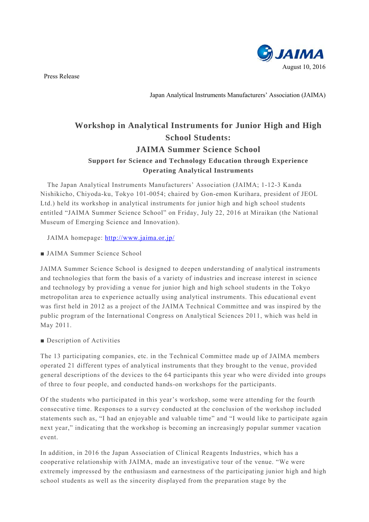**BIJAIMA** August 10, 2016

Press Release

Japan Analytical Instruments Manufacturers' Association (JAIMA)

## **Workshop in Analytical Instruments for Junior High and High School Students: JAIMA Summer Science School Support for Science and Technology Education through Experience Operating Analytical Instruments**

The Japan Analytical Instruments Manufacturers' Association (JAIMA; 1-12-3 Kanda Nishikicho, Chiyoda-ku, Tokyo 101-0054; chaired by Gon-emon Kurihara, president of JEOL Ltd.) held its workshop in analytical instruments for junior high and high school students entitled "JAIMA Summer Science School" on Friday, July 22, 2016 at Miraikan (the National Museum of Emerging Science and Innovation).

JAIMA homepage: http://www.jaima.or.jp/

■ JAIMA Summer Science School

JAIMA Summer Science School is designed to deepen understanding of analytical instruments and technologies that form the basis of a variety of industries and increase interest in science and technology by providing a venue for junior high and high school students in the Tokyo metropolitan area to experience actually using analytical instruments. This educational event was first held in 2012 as a project of the JAIMA Technical Committee and was inspired by the public program of the International Congress on Analytical Sciences 2011, which was held in May 2011.

■ Description of Activities

The 13 participating companies, etc. in the Technical Committee made up of JAIMA members operated 21 different types of analytical instruments that they brought to the venue, provided general descriptions of the devices to the 64 participants this year who were divided into groups of three to four people, and conducted hands-on workshops for the participants.

Of the students who participated in this year's workshop, some were attending for the fourth consecutive time. Responses to a survey conducted at the conclusion of the workshop included statements such as, "I had an enjoyable and valuable time" and "I would like to participate again next year," indicating that the workshop is becoming an increasingly popular summer vacation event.

In addition, in 2016 the Japan Association of Clinical Reagents Industries, which has a cooperative relationship with JAIMA, made an investigative tour of the venue. "We were extremely impressed by the enthusiasm and earnestness of the participating junior high and high school students as well as the sincerity displayed from the preparation stage by the